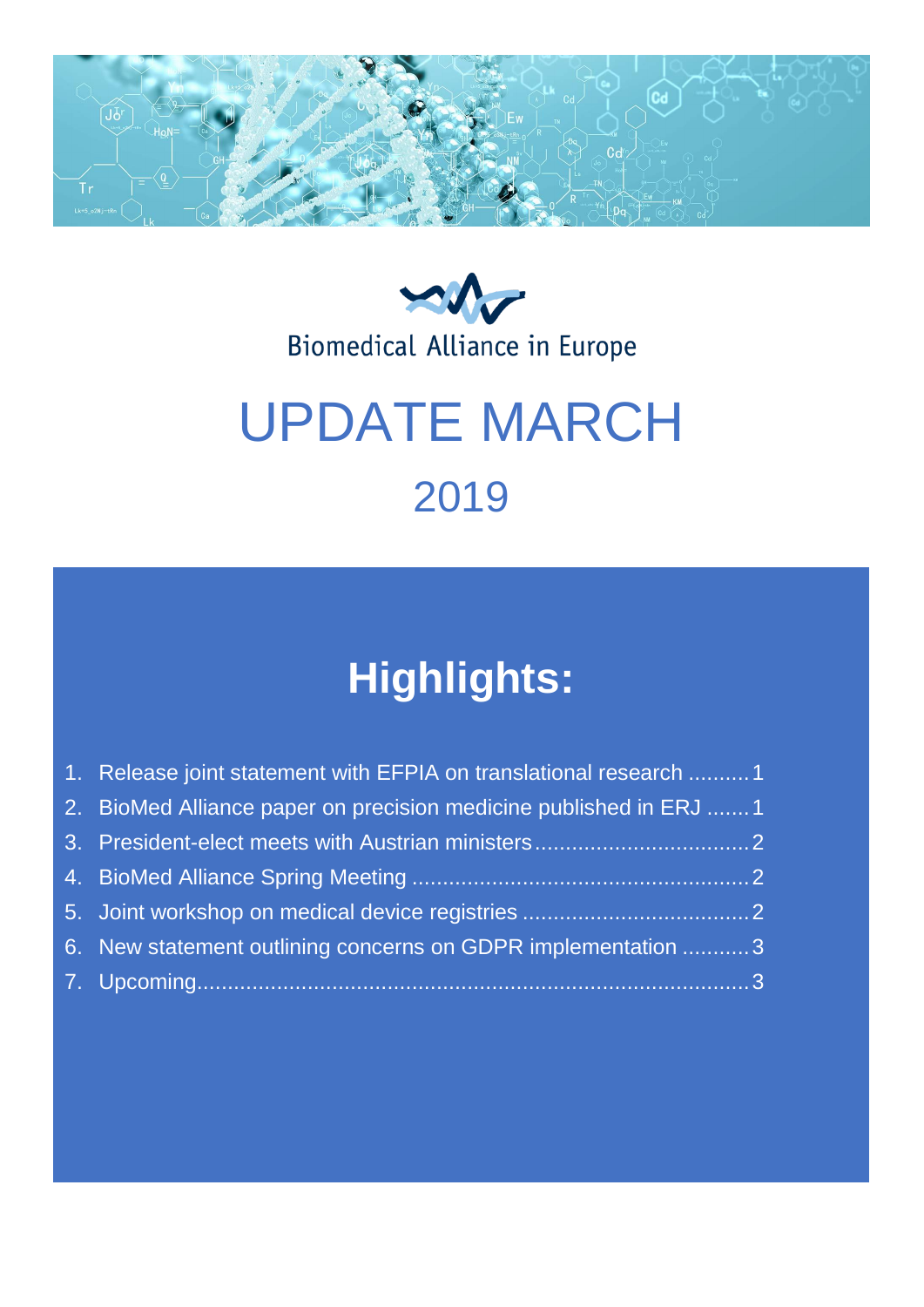



Biomedical Alliance in Europe

# UPDATE MARCH 2019

# **Highlights:**

| 1. Release joint statement with EFPIA on translational research 1 |
|-------------------------------------------------------------------|
| 2. BioMed Alliance paper on precision medicine published in ERJ 1 |
|                                                                   |
|                                                                   |
|                                                                   |
| 6. New statement outlining concerns on GDPR implementation 3      |
|                                                                   |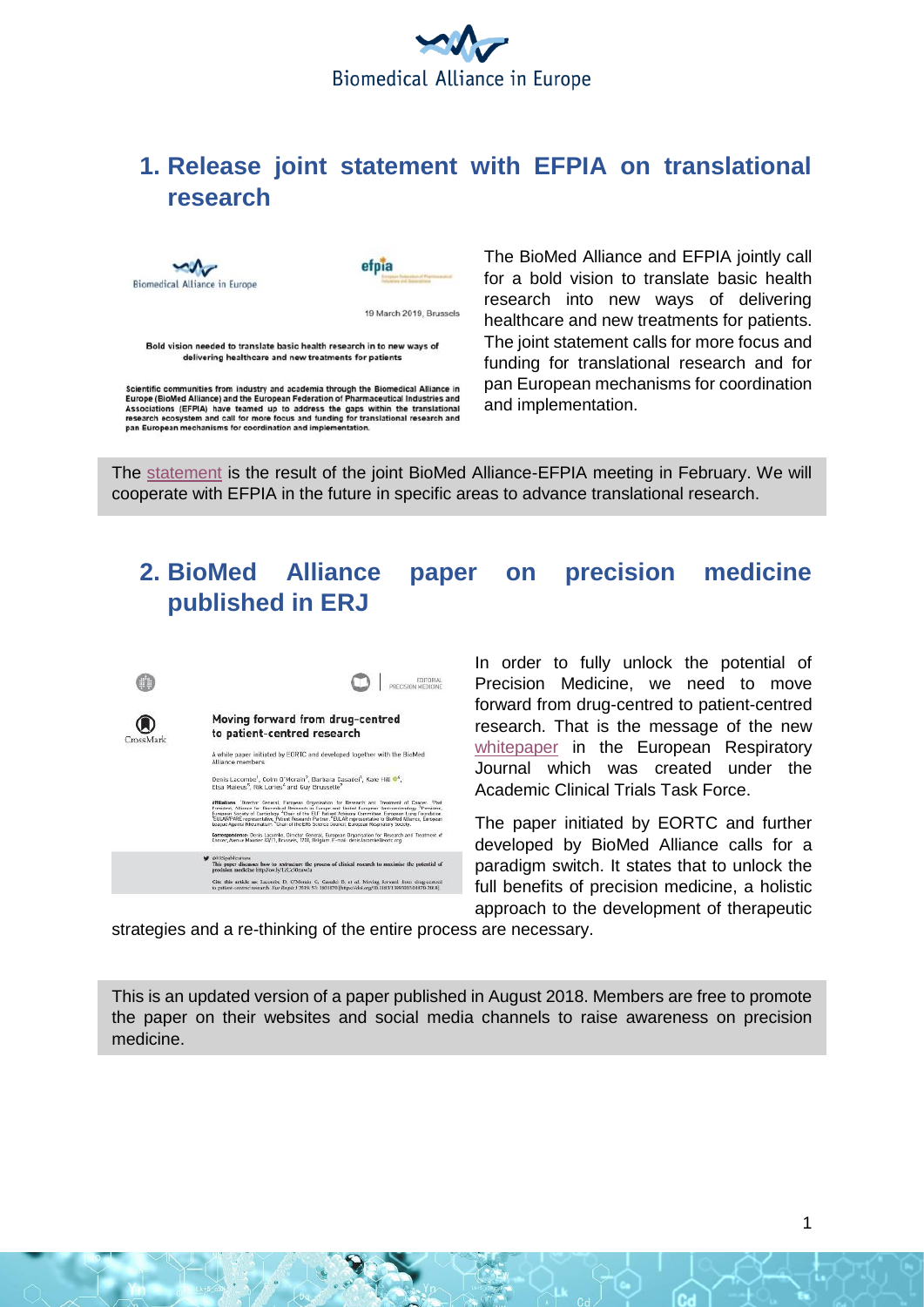

# <span id="page-1-0"></span>**1. Release joint statement with EFPIA on translational research**



Scientific communities from industry and academia through the Biomedical Alliance in<br>Europe (BioMed Alliance) and the European Federation of Pharmaceutical Industries and Experience and the teamed up to address the gaps within the translational<br>research ecosystem and call for more focus and funding for translational research and<br>pan European mechanisms for coordination and implementation. The BioMed Alliance and EFPIA jointly call for a bold vision to translate basic health research into new ways of delivering healthcare and new treatments for patients. The joint statement calls for more focus and funding for translational research and for pan European mechanisms for coordination and implementation.

The [statement](https://www.biomedeurope.org/images/Joint_EFPIA_BioMedAlliance_statement_translational_final.pdf) is the result of the joint BioMed Alliance-EFPIA meeting in February. We will cooperate with EFPIA in the future in specific areas to advance translational research.

## <span id="page-1-1"></span>**2. BioMed Alliance paper on precision medicine published in ERJ**



In order to fully unlock the potential of Precision Medicine, we need to move forward from drug-centred to patient-centred research. That is the message of the new [whitepaper](https://erj.ersjournals.com/content/53/2/1801870) in the European Respiratory Journal which was created under the Academic Clinical Trials Task Force.

The paper initiated by EORTC and further developed by BioMed Alliance calls for a paradigm switch. It states that to unlock the full benefits of precision medicine, a holistic approach to the development of therapeutic

strategies and a re-thinking of the entire process are necessary.

This is an updated version of a paper published in August 2018. Members are free to promote the paper on their websites and social media channels to raise awareness on precision medicine.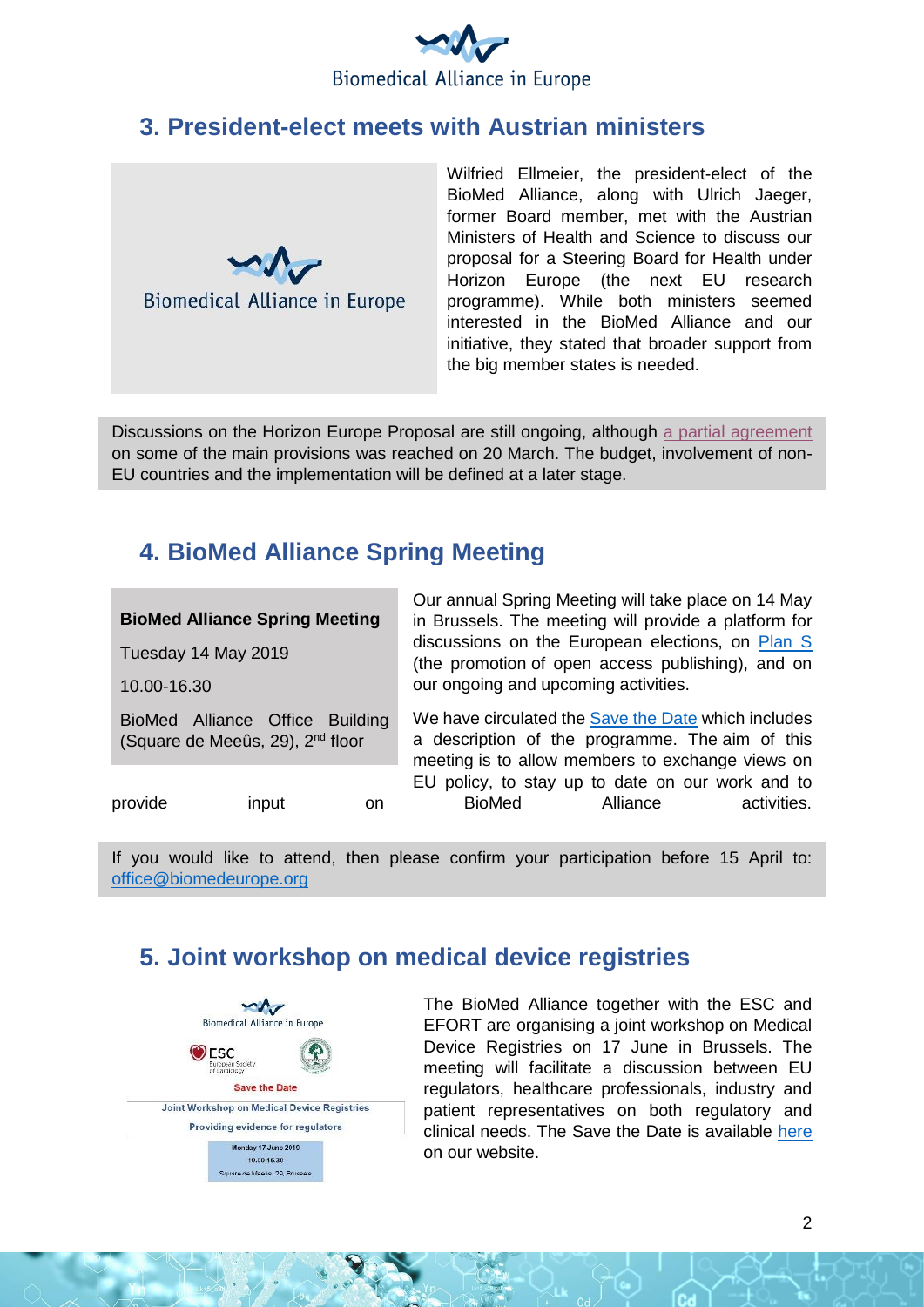

#### <span id="page-2-0"></span>**3. President-elect meets with Austrian ministers**



Wilfried Ellmeier, the president-elect of the BioMed Alliance, along with Ulrich Jaeger, former Board member, met with the Austrian Ministers of Health and Science to discuss our proposal for a Steering Board for Health under Horizon Europe (the next EU research programme). While both ministers seemed interested in the BioMed Alliance and our initiative, they stated that broader support from the big member states is needed.

Discussions on the Horizon Europe Proposal are still ongoing, although [a partial agreement](https://sciencebusiness.net/framework-programmes/news/eu-council-and-parliament-strike-deal-horizon-research-programme) on some of the main provisions was reached on 20 March. The budget, involvement of non-EU countries and the implementation will be defined at a later stage.

# <span id="page-2-1"></span>**4. BioMed Alliance Spring Meeting**

| <b>BioMed Alliance Spring Meeting</b>                                           |       | Our annual Spring Meeting will take place on 14 May<br>in Brussels. The meeting will provide a platform for<br>discussions on the European elections, on Plan S<br>(the promotion of open access publishing), and on |                                                                                                                                                                                                    |          |             |
|---------------------------------------------------------------------------------|-------|----------------------------------------------------------------------------------------------------------------------------------------------------------------------------------------------------------------------|----------------------------------------------------------------------------------------------------------------------------------------------------------------------------------------------------|----------|-------------|
| Tuesday 14 May 2019                                                             |       |                                                                                                                                                                                                                      |                                                                                                                                                                                                    |          |             |
| 10.00-16.30                                                                     |       |                                                                                                                                                                                                                      | our ongoing and upcoming activities.<br>We have circulated the Save the Date which includes<br>a description of the programme. The aim of this<br>meeting is to allow members to exchange views on |          |             |
| BioMed Alliance Office Building<br>(Square de Meeûs, 29), 2 <sup>nd</sup> floor |       |                                                                                                                                                                                                                      |                                                                                                                                                                                                    |          |             |
| provide                                                                         | input | on.                                                                                                                                                                                                                  | EU policy, to stay up to date on our work and to<br><b>BioMed</b>                                                                                                                                  | Alliance | activities. |

If you would like to attend, then please confirm your participation before 15 April to: [office@biomedeurope.org](mailto:office@biomedeurope.org)

# <span id="page-2-2"></span>**5. Joint workshop on medical device registries**



The BioMed Alliance together with the ESC and EFORT are organising a joint workshop on Medical Device Registries on 17 June in Brussels. The meeting will facilitate a discussion between EU regulators, healthcare professionals, industry and patient representatives on both regulatory and clinical needs. The Save the Date is available [here](https://www.biomedeurope.org/images/Attachment_2_-_save_the_date_registries_workshop.pdf) on our website.